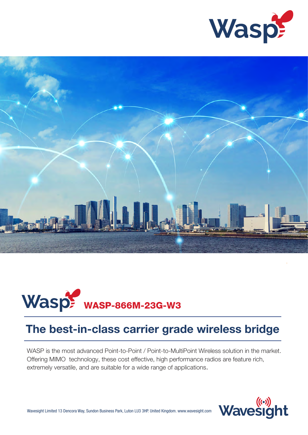





# The best-in-class carrier grade wireless bridge

WASP is the most advanced Point-to-Point / Point-to-MultiPoint Wireless solution in the market. Offering MIMO technology, these cost effective, high performance radios are feature rich, extremely versatile, and are suitable for a wide range of applications.

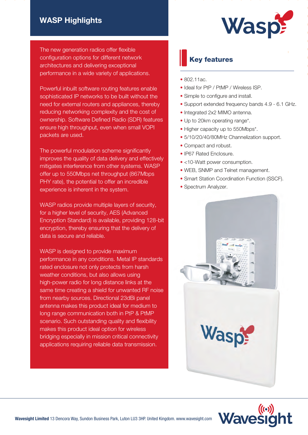## WASP Highlights

The new generation radios offer flexible configuration options for different network architectures and delivering exceptional performance in a wide variety of applications.

Powerful inbuilt software routing features enable sophisticated IP networks to be built without the need for external routers and appliances, thereby reducing networking complexity and the cost of ownership. Software Defined Radio (SDR) features ensure high throughput, even when small VOPI packets are used.

The powerful modulation scheme significantly improves the quality of data delivery and effectively mitigates interference from other systems. WASP offer up to 550Mbps net throughput (867Mbps PHY rate), the potential to offer an incredible experience is inherent in the system.

WASP radios provide multiple layers of security, for a higher level of security, AES (Advanced Encryption Standard) is available, providing 128-bit encryption, thereby ensuring that the delivery of data is secure and reliable.

WASP is designed to provide maximum performance in any conditions. Metal IP standards rated enclosure not only protects from harsh weather conditions, but also allows using high-power radio for long distance links at the same time creating a shield for unwanted RF noise from nearby sources. Directional 23dBi panel antenna makes this product ideal for medium to long range communication both in PtP & PtMP scenario. Such outstanding quality and flexibility makes this product ideal option for wireless bridging especially in mission critical connectivity applications requiring reliable data transmission.

# **WaspF**

## Key features

- 802.11ac.
- Ideal for PtP / PtMP / Wireless ISP.
- Simple to configure and install.
- Support extended frequency bands 4.9 6.1 GHz.
- Integrated 2x2 MIMO antenna.
- Up to 20km operating range\*.
- Higher capacity up to 550Mbps\*.
- 5/10/20/40/80MHz Channelization support.
- Compact and robust.
- IP67 Rated Enclosure.
- <10-Watt power consumption.
- WEB, SNMP and Telnet management.
- Smart Station Coordination Function (SSCF).
- Spectrum Analyzer.



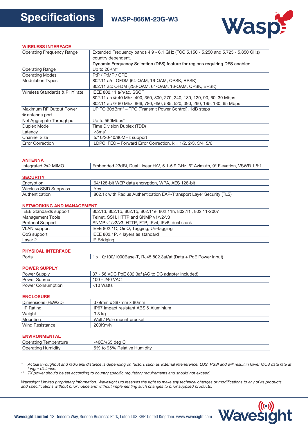

#### WIRELESS INTERFACE

| <b>Operating Frequency Range</b> | Extended Frequency bands 4.9 - 6.1 GHz (FCC 5.150 - 5.250 and 5.725 - 5.850 GHz) |  |  |  |  |
|----------------------------------|----------------------------------------------------------------------------------|--|--|--|--|
|                                  | country dependent.                                                               |  |  |  |  |
|                                  | Dynamic Frequency Selection (DFS) feature for regions requiring DFS enabled.     |  |  |  |  |
| <b>Operating Range</b>           | Up to 20Km <sup>*</sup>                                                          |  |  |  |  |
| <b>Operating Modes</b>           | PtP / PtMP / CPE                                                                 |  |  |  |  |
| <b>Modulation Types</b>          | 802.11 a/n: OFDM (64-QAM, 16-QAM, QPSK, BPSK)                                    |  |  |  |  |
|                                  | 802.11 ac: OFDM (256-QAM, 64-QAM, 16-QAM, QPSK, BPSK)                            |  |  |  |  |
| Wireless Standards & PHY rate    | IEEE 802.11 a/n/ac, SSCF                                                         |  |  |  |  |
|                                  | 802.11 ac @ 40 Mhz: 400, 360, 300, 270, 240, 180, 120, 90, 60, 30 Mbps           |  |  |  |  |
|                                  | 802.11 ac @ 80 Mhz: 866, 780, 650, 585, 520, 390, 260, 195, 130, 65 Mbps         |  |  |  |  |
| Maximum RF Output Power          | UP TO 30dBm <sup>**</sup> – TPC (Transmit Power Control), 1dB steps              |  |  |  |  |
| @ antenna port                   |                                                                                  |  |  |  |  |
| Net Aggregate Throughput         | Up to 550Mbps*                                                                   |  |  |  |  |
| Duplex Mode                      | Time Division Duplex (TDD)                                                       |  |  |  |  |
| Latency                          | $<$ 3ms $^*$                                                                     |  |  |  |  |
| Channel Size                     | 5/10/20/40/80MHz support                                                         |  |  |  |  |
| <b>Error Correction</b>          | LDPC, FEC - Forward Error Correction, $k = 1/2, 2/3, 3/4, 5/6$                   |  |  |  |  |
|                                  |                                                                                  |  |  |  |  |

#### ANTENNA

| Integrated 2x2 MIMO | Embedded 23dBi, Dual Linear H/V, 5.1-5.9 GHz, 6° Azimuth, 9° Elevation, VSWR 1.5:1 |
|---------------------|------------------------------------------------------------------------------------|
|---------------------|------------------------------------------------------------------------------------|

| <b>SECURITY</b>        |                                                                      |
|------------------------|----------------------------------------------------------------------|
| Encryption             | 64/128-bit WEP data encryption, WPA, AES 128-bit                     |
| Wireless SSID Suppress | Yes                                                                  |
| Authentication         | 802.1x with Radius Authentication EAP-Transport Laver Security (TLS) |

#### NETWORKING AND MANAGEMENT

| <b>IEEE Standards support</b> | 802.1d, 802.1p, 802.1q, 802.11e, 802.11h, 802.11i, 802.11-2007 |  |  |  |
|-------------------------------|----------------------------------------------------------------|--|--|--|
| <b>Management Tools</b>       | Telnet, SSH, HTTP and SNMP v1/v2/v3                            |  |  |  |
| <b>Protocol Support</b>       | SNMP v1/v2/v3, HTTP, FTP, IPv4, IPv6, dual stack               |  |  |  |
| <b>VLAN</b> support           | IEEE 802.1Q, QinQ, Tagging, Un-tagging                         |  |  |  |
| QoS support                   | IEEE 802.1P, 4 layers as standard                              |  |  |  |
| Layer 2                       | IP Bridging                                                    |  |  |  |

#### PHYSICAL INTERFACE

|  | Ports | $\vert$ 1 x 10/100/1000Base-T, RJ45 802.3af/at (Data + PoE Power input) |  |
|--|-------|-------------------------------------------------------------------------|--|
|--|-------|-------------------------------------------------------------------------|--|

#### POWER SUPPLY

| <b>Power Supply</b>      | 37 - 56 VDC PoE 802.3af (AC to DC adapter included) |  |  |  |
|--------------------------|-----------------------------------------------------|--|--|--|
| Power Source             | 100 - 240 VAC                                       |  |  |  |
| <b>Power Consumption</b> | <10 Watts                                           |  |  |  |

#### **ENCLOSURE**

| Dimensions (HxWxD) | 379mm x 387mm x 80mm                  |  |  |  |
|--------------------|---------------------------------------|--|--|--|
| IP Rating          | IP67 Impact resistant ABS & Aluminium |  |  |  |
| Weight             | 3.3 ka                                |  |  |  |
| Mounting           | Wall / Pole mount bracket             |  |  |  |
| Wind Resistance    | $200$ Km/h                            |  |  |  |
|                    |                                       |  |  |  |

#### ENVIRONMENTAL

| ______________________       |                                              |
|------------------------------|----------------------------------------------|
| Operating<br>I emperature    | $-40C$ .<br>dea<br>'ບບ                       |
| Operating<br><b>Humidity</b> | .<br>5%<br>5%<br>Humidity<br>Relative<br>-95 |

*\* Actual throughput and radio link distance is depending on factors such as external interference, LOS, RSSI and will result in lower MCS data rate at longer distance.*

*\*\* TX power should be set according to country specific regulatory requirements and should not exceed.*

*Wavesight Limited proprietary information. Wavesight Ltd reserves the right to make any technical changes or modifications to any of its products and specifications without prior notice and without implementing such changes to prior supplied products.*